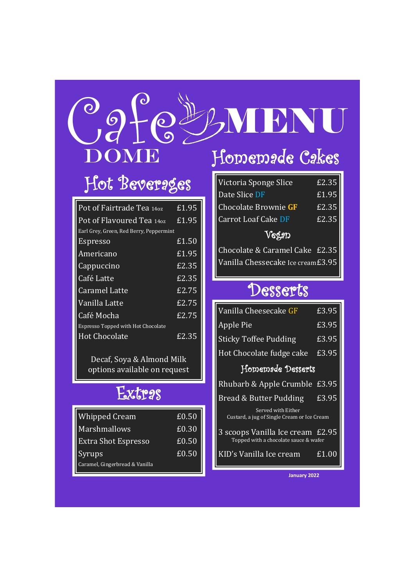# Homemade Cakes Ogfeyn DOME BNU

# Hot Beverages

| Pot of Fairtrade Tea 140z                 | £1.95               |
|-------------------------------------------|---------------------|
| Pot of Flavoured Tea 140z                 | £1.95               |
| Earl Grey, Green, Red Berry, Peppermint   |                     |
| <b>Espresso</b>                           | £1.50               |
| Americano                                 | $\overline{E}$ 1.95 |
| Cappuccino                                | £2.35               |
| Café Latte                                | £2.35               |
| Caramel Latte                             | £2.75               |
| Vanilla Latte                             | f.2.75              |
| Café Mocha                                | £2.75               |
| <b>Espresso Topped with Hot Chocolate</b> |                     |
| <b>Hot Chocolate</b>                      | £2.35               |

Decaf, Soya & Almond Milk options available on request

### **Extras**

| <b>Whipped Cream</b>           | £0.50 |
|--------------------------------|-------|
| <b>Marshmallows</b>            | £0.30 |
| <b>Extra Shot Espresso</b>     | £0.50 |
| Syrups                         | £0.50 |
| Caramel, Gingerbread & Vanilla |       |

| Victoria Sponge Slice       | £2.35 |  |
|-----------------------------|-------|--|
| Date Slice DF               | £1.95 |  |
| <b>Chocolate Brownie GF</b> | £2.35 |  |
| <b>Carrot Loaf Cake DF</b>  | £2.35 |  |
| Veggp                       |       |  |

Chocolate & Caramel Cake £2.35 Vanilla Chessecake Ice cream£3.95

## Desserts

| Vanilla Cheesecake GF                                                     | $\overline{E3.95}$ |  |
|---------------------------------------------------------------------------|--------------------|--|
| Apple Pie                                                                 | £3.95              |  |
| <b>Sticky Toffee Pudding</b>                                              | £3.95              |  |
| Hot Chocolate fudge cake                                                  | £3.95              |  |
| Homemade Desserts                                                         |                    |  |
| Rhubarb & Apple Crumble                                                   | $\overline{E}3.95$ |  |
| Bread & Butter Pudding                                                    | £3.95              |  |
| Served with Either<br>Custard, a jug of Single Cream or Ice Cream         |                    |  |
| 3 scoops Vanilla Ice cream £2.95<br>Topped with a chocolate sauce & wafer |                    |  |
| KID's Vanilla Ice cream                                                   | £1.00              |  |

**January 2022**